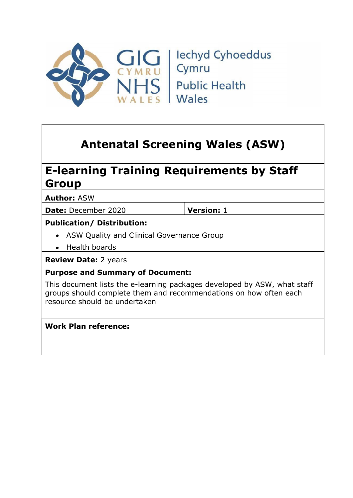

# Antenatal Screening Wales (ASW)

# E-learning Training Requirements by Staff Group

Author: ASW

Date: December 2020 **Version:** 1

### Publication/ Distribution:

- ASW Quality and Clinical Governance Group
- Health boards

Review Date: 2 years

### Purpose and Summary of Document:

This document lists the e-learning packages developed by ASW, what staff groups should complete them and recommendations on how often each resource should be undertaken

### Work Plan reference: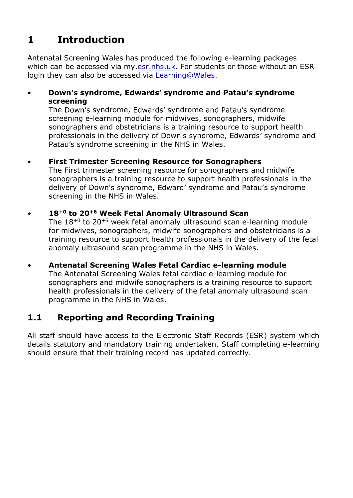# 1 Introduction

Antenatal Screening Wales has produced the following e-learning packages which can be accessed via my.esr.nhs.uk. For students or those without an ESR login they can also be accessed via Learning@Wales.

Down's syndrome, Edwards' syndrome and Patau's syndrome screening

The Down's syndrome, Edwards' syndrome and Patau's syndrome screening e-learning module for midwives, sonographers, midwife sonographers and obstetricians is a training resource to support health professionals in the delivery of Down's syndrome, Edwards' syndrome and Patau's syndrome screening in the NHS in Wales.

#### First Trimester Screening Resource for Sonographers

The First trimester screening resource for sonographers and midwife sonographers is a training resource to support health professionals in the delivery of Down's syndrome, Edward' syndrome and Patau's syndrome screening in the NHS in Wales.

#### $\bullet$

18<sup>+0</sup> to 20<sup>+6</sup> Week Fetal Anomaly Ultrasound Scan<br>The 18<sup>+0</sup> to 20<sup>+6</sup> week fetal anomaly ultrasound scan e-learning module for midwives, sonographers, midwife sonographers and obstetricians is a training resource to support health professionals in the delivery of the fetal anomaly ultrasound scan programme in the NHS in Wales.

#### Antenatal Screening Wales Fetal Cardiac e-learning module

The Antenatal Screening Wales fetal cardiac e-learning module for sonographers and midwife sonographers is a training resource to support health professionals in the delivery of the fetal anomaly ultrasound scan programme in the NHS in Wales.

## 1.1 Reporting and Recording Training

All staff should have access to the Electronic Staff Records (ESR) system which details statutory and mandatory training undertaken. Staff completing e-learning should ensure that their training record has updated correctly.